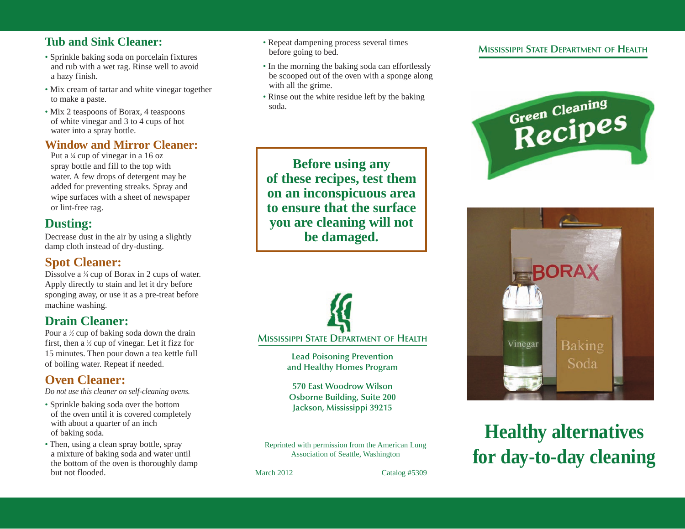#### **Tub and Sink Cleaner:**

- Sprinkle baking soda on porcelain fixtures and rub with a wet rag. Rinse well to avoid a hazy finish.
- Mix cream of tartar and white vinegar together to make a paste.
- Mix 2 teaspoons of Borax, 4 teaspoons of white vinegar and 3 to 4 cups of hot water into a spray bottle.

#### **Window and Mirror Cleaner:**

Put a  $\frac{1}{4}$  cup of vinegar in a 16 oz spray bottle and fill to the top with water. A few drops of detergent may be added for preventing streaks. Spray and wipe surfaces with a sheet of newspaper or lint-free rag.

# **Dusting:**

Decrease dust in the air by using a slightly damp cloth instead of dry-dusting.

## **Spot Cleaner:**

Dissolve a  $\frac{1}{4}$  cup of Borax in 2 cups of water. Apply directly to stain and let it dry before sponging away, or use it as a pre-treat before machine washing.

# **Drain Cleaner:**

Pour a  $\frac{1}{2}$  cup of baking soda down the drain first, then a  $\frac{1}{2}$  cup of vinegar. Let it fizz for 15 minutes. Then pour down a tea kettle full of boiling water. Repeat if needed.

# **Oven Cleaner:**

*Do not use this cleaner on self-cleaning ovens.*

- Sprinkle baking soda over the bottom of the oven until it is covered completely with about a quarter of an inch of baking soda.
- Then, using a clean spray bottle, spray a mixture of baking soda and water until the bottom of the oven is thoroughly damp but not flooded.
- Repeat dampening process several times before going to bed.
- In the morning the baking soda can effortlessly be scooped out of the oven with a sponge along with all the grime.
- Rinse out the white residue left by the baking soda.

**Before using any of these recipes, test them on an inconspicuous area to ensure that the surface you are cleaning will not be damaged.**



**Lead Poisoning Prevention and Healthy Homes Program**

**570 East Woodrow Wilson Osborne Building, Suite 200 Jackson, Mississippi 39215**

Reprinted with permission from the American Lung Association of Seattle, Washington

March 2012 Catalog #5309

#### **MISSISSIPPI STATE DEPARTMENT OF HEALTH**





# **Healthy alternatives for day-to-day cleaning**